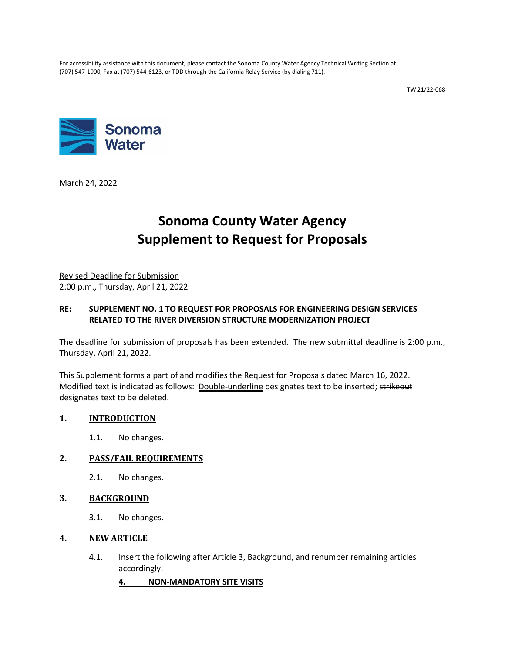For accessibility assistance with this document, please contact the Sonoma County Water Agency Technical Writing Section at (707) 547-1900, Fax at (707) 544-6123, or TDD through the California Relay Service (by dialing 711).

TW 21/22-068



March 24, 2022

# **Sonoma County Water Agency Supplement to Request for Proposals**

Revised Deadline for Submission 2:00 p.m., Thursday, April 21, 2022

## **RE: SUPPLEMENT NO. 1 TO REQUEST FOR PROPOSALS FOR ENGINEERING DESIGN SERVICES RELATED TO THE RIVER DIVERSION STRUCTURE MODERNIZATION PROJECT**

The deadline for submission of proposals has been extended. The new submittal deadline is 2:00 p.m., Thursday, April 21, 2022.

This Supplement forms a part of and modifies the Request for Proposals dated March 16, 2022. Modified text is indicated as follows: Double-underline designates text to be inserted; strikeout designates text to be deleted.

#### **1. INTRODUCTION**

1.1. No changes.

#### **2. PASS/FAIL REQUIREMENTS**

2.1. No changes.

#### **3. BACKGROUND**

3.1. No changes.

#### **4. NEW ARTICLE**

4.1. Insert the following after Article 3, Background, and renumber remaining articles accordingly.

**4. NON-MANDATORY SITE VISITS**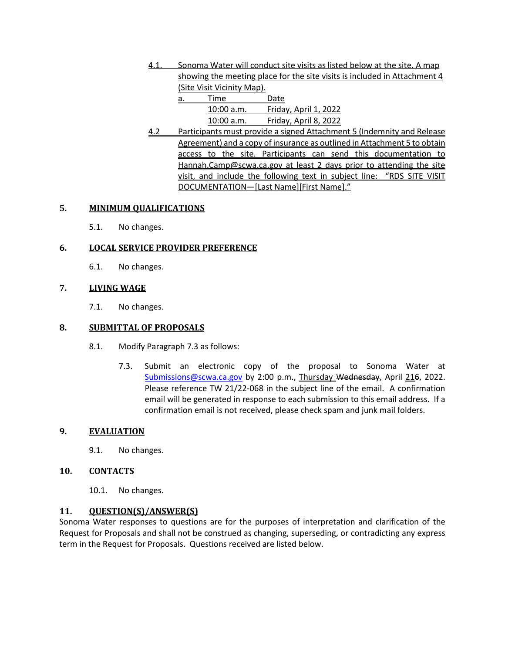4.1. Sonoma Water will conduct site visits as listed below at the site. A map showing the meeting place for the site visits is included in Attachment 4 (Site Visit Vicinity Map).

| a | Time         | Date                         |
|---|--------------|------------------------------|
|   | $10:00$ a.m. | <b>Friday, April 1, 2022</b> |
|   | 10:00 a.m.   | <b>Friday, April 8, 2022</b> |

4.2 Participants must provide a signed Attachment 5 (Indemnity and Release Agreement) and a copy of insurance as outlined in Attachment 5 to obtain access to the site. Participants can send this documentation to [Hannah.Camp@scwa.ca.gov](mailto:Hannah.Camp@scwa.ca.gov) at least 2 days prior to attending the site visit, and include the following text in subject line: "RDS SITE VISIT DOCUMENTATION—[Last Name][First Name]."

#### **5. MINIMUM QUALIFICATIONS**

5.1. No changes.

# **6. LOCAL SERVICE PROVIDER PREFERENCE**

6.1. No changes.

## **7. LIVING WAGE**

7.1. No changes.

## **8. SUBMITTAL OF PROPOSALS**

- 8.1. Modify Paragraph 7.3 as follows:
	- 7.3. Submit an electronic copy of the proposal to Sonoma Water at [Submissions@scwa.ca.gov](mailto:Submissions@scwa.ca.gov) by 2:00 p.m., Thursday Wednesday, April 216, 2022. Please reference TW 21/22-068 in the subject line of the email. A confirmation email will be generated in response to each submission to this email address. If a confirmation email is not received, please check spam and junk mail folders.

#### **9. EVALUATION**

9.1. No changes.

#### **10. CONTACTS**

10.1. No changes.

# **11. QUESTION(S)/ANSWER(S)**

Sonoma Water responses to questions are for the purposes of interpretation and clarification of the Request for Proposals and shall not be construed as changing, superseding, or contradicting any express term in the Request for Proposals. Questions received are listed below.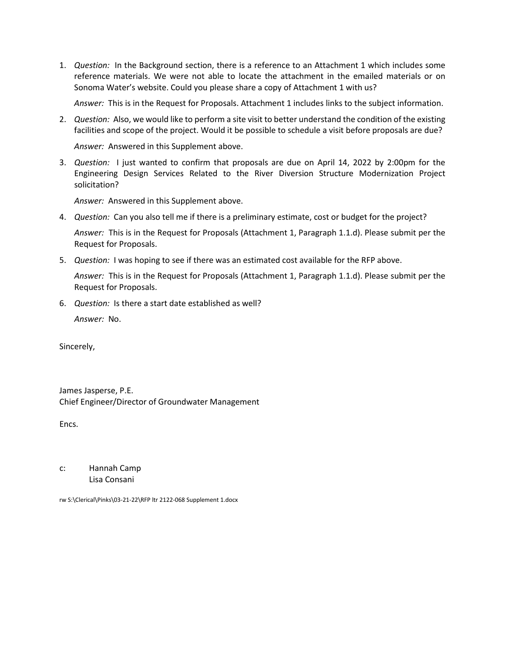1. *Question:* In the Background section, there is a reference to an Attachment 1 which includes some reference materials. We were not able to locate the attachment in the emailed materials or on Sonoma Water's website. Could you please share a copy of Attachment 1 with us?

*Answer:* This is in the Request for Proposals. Attachment 1 includes links to the subject information.

2. *Question:* Also, we would like to perform a site visit to better understand the condition of the existing facilities and scope of the project. Would it be possible to schedule a visit before proposals are due?

*Answer:* Answered in this Supplement above.

3. *Question:* I just wanted to confirm that proposals are due on April 14, 2022 by 2:00pm for the Engineering Design Services Related to the River Diversion Structure Modernization Project solicitation?

*Answer:* Answered in this Supplement above.

4. *Question:* Can you also tell me if there is a preliminary estimate, cost or budget for the project?

*Answer:* This is in the Request for Proposals (Attachment 1, Paragraph 1.1.d). Please submit per the Request for Proposals.

5. *Question:* I was hoping to see if there was an estimated cost available for the RFP above.

*Answer:* This is in the Request for Proposals (Attachment 1, Paragraph 1.1.d). Please submit per the Request for Proposals.

6. *Question:* Is there a start date established as well?

*Answer:* No.

Sincerely,

James Jasperse, P.E. Chief Engineer/Director of Groundwater Management

Encs.

c: Hannah Camp Lisa Consani

rw S:\Clerical\Pinks\03-21-22\RFP ltr 2122-068 Supplement 1.docx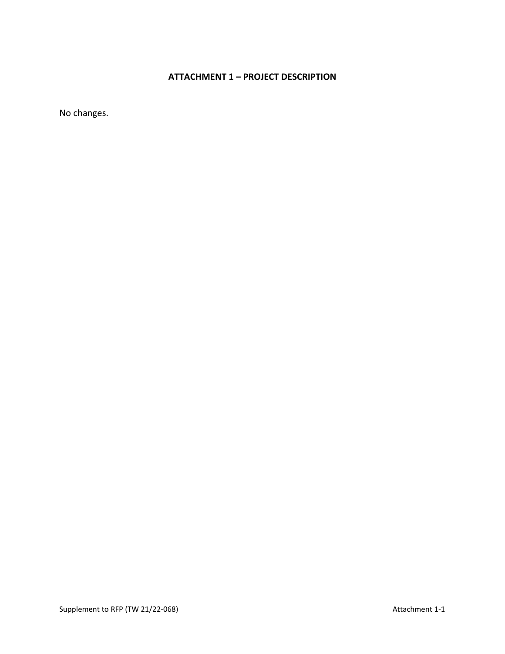# **ATTACHMENT 1 – PROJECT DESCRIPTION**

No changes.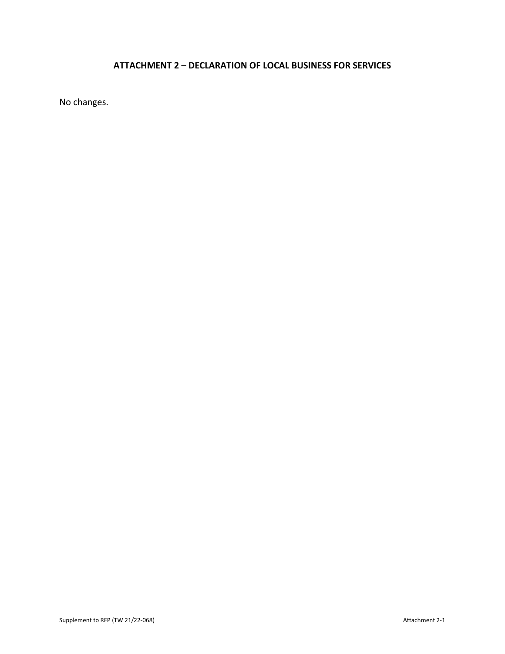# **ATTACHMENT 2 – DECLARATION OF LOCAL BUSINESS FOR SERVICES**

No changes.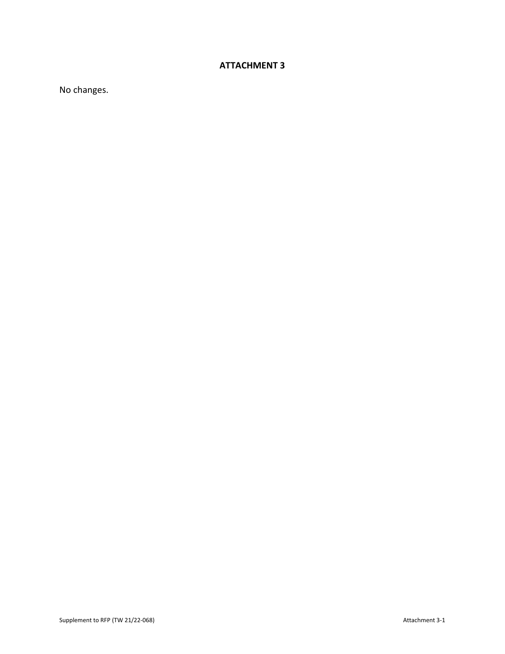# **ATTACHMENT 3**

No changes.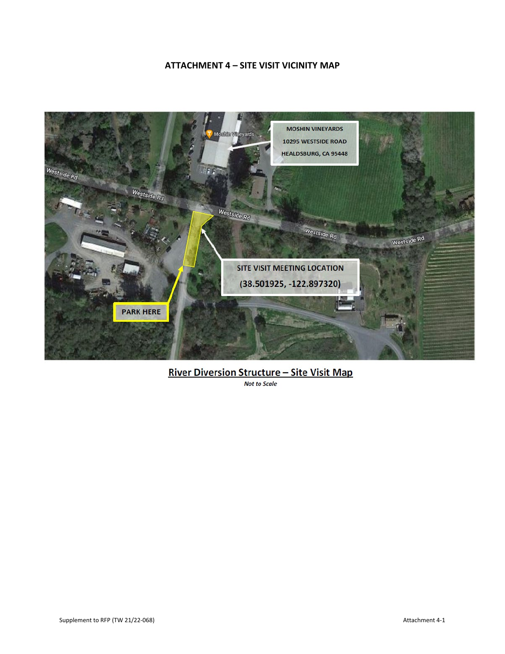## **ATTACHMENT 4 – SITE VISIT VICINITY MAP**



# River Diversion Structure - Site Visit Map

*Not to Scale*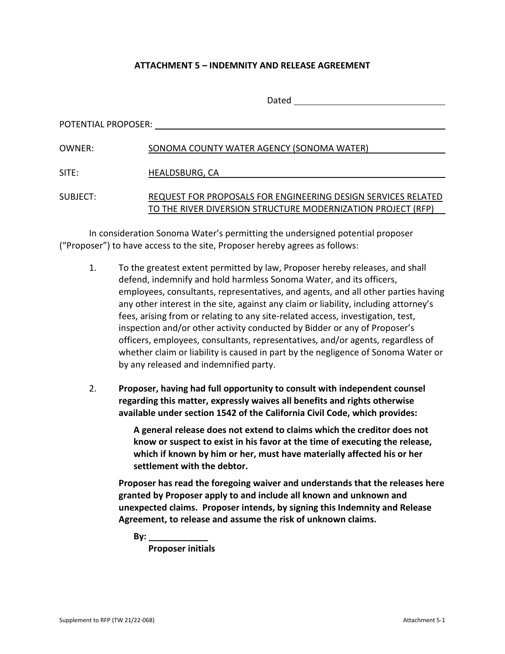## **ATTACHMENT 5 – INDEMNITY AND RELEASE AGREEMENT**

|                     | Dated                                                         |
|---------------------|---------------------------------------------------------------|
| POTENTIAL PROPOSER: |                                                               |
| OWNER:              | SONOMA COUNTY WATER AGENCY (SONOMA WATER)                     |
| SITE:               | HEALDSBURG, CA                                                |
| SUBJECT:            | REQUEST FOR PROPOSALS FOR ENGINEERING DESIGN SERVICES RELATED |
|                     | TO THE RIVER DIVERSION STRUCTURE MODERNIZATION PROJECT (RFP)  |

In consideration Sonoma Water's permitting the undersigned potential proposer ("Proposer") to have access to the site, Proposer hereby agrees as follows:

- 1. To the greatest extent permitted by law, Proposer hereby releases, and shall defend, indemnify and hold harmless Sonoma Water, and its officers, employees, consultants, representatives, and agents, and all other parties having any other interest in the site, against any claim or liability, including attorney's fees, arising from or relating to any site-related access, investigation, test, inspection and/or other activity conducted by Bidder or any of Proposer's officers, employees, consultants, representatives, and/or agents, regardless of whether claim or liability is caused in part by the negligence of Sonoma Water or by any released and indemnified party.
- 2. **Proposer, having had full opportunity to consult with independent counsel regarding this matter, expressly waives all benefits and rights otherwise available under section 1542 of the California Civil Code, which provides:**

**A general release does not extend to claims which the creditor does not know or suspect to exist in his favor at the time of executing the release, which if known by him or her, must have materially affected his or her settlement with the debtor.**

**Proposer has read the foregoing waiver and understands that the releases here granted by Proposer apply to and include all known and unknown and unexpected claims. Proposer intends, by signing this Indemnity and Release Agreement, to release and assume the risk of unknown claims.**

**By: \_\_\_\_\_\_\_\_\_\_\_\_**

**Proposer initials**